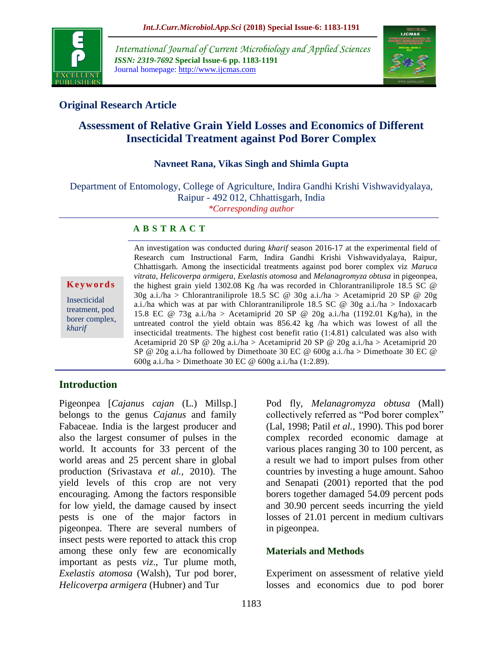

*International Journal of Current Microbiology and Applied Sciences ISSN: 2319-7692* **Special Issue-6 pp. 1183-1191** Journal homepage: http://www.ijcmas.com



# **Original Research Article**

# **Assessment of Relative Grain Yield Losses and Economics of Different Insecticidal Treatment against Pod Borer Complex**

## **Navneet Rana, Vikas Singh and Shimla Gupta**

Department of Entomology, College of Agriculture, Indira Gandhi Krishi Vishwavidyalaya, Raipur - 492 012, Chhattisgarh, India *\*Corresponding author*

#### **A B S T R A C T**

**K e y w o r d s** Insecticidal treatment, pod borer complex, *kharif*

An investigation was conducted during *kharif* season 2016-17 at the experimental field of Research cum Instructional Farm, Indira Gandhi Krishi Vishwavidyalaya, Raipur, Chhattisgarh. Among the insecticidal treatments against pod borer complex viz *Maruca vitrata*, *Helicoverpa armigera*, *Exelastis atomosa* and *Melanagromyza obtusa* in pigeonpea, the highest grain yield 1302.08 Kg /ha was recorded in Chlorantraniliprole 18.5 SC @  $30g$  a.i./ha > Chlorantraniliprole 18.5 SC @ 30g a.i./ha > Acetamiprid 20 SP @ 20g a.i./ha which was at par with Chlorantraniliprole 18.5 SC @ 30g a.i./ha > Indoxacarb 15.8 EC @ 73g a.i./ha > Acetamiprid 20 SP @ 20g a.i./ha (1192.01 Kg/ha), in the untreated control the yield obtain was 856.42 kg /ha which was lowest of all the insecticidal treatments. The highest cost benefit ratio  $(1:4.81)$  calculated was also with Acetamiprid 20 SP @ 20g a.i./ha > Acetamiprid 20 SP @ 20g a.i./ha > Acetamiprid 20 SP @ 20g a.i./ha followed by Dimethoate 30 EC @ 600g a.i./ha > Dimethoate 30 EC @ 600g a.i./ha > Dimethoate 30 EC @ 600g a.i./ha (1:2.89).

# **Introduction**

Pigeonpea [*Cajanus cajan* (L.) Millsp.] belongs to the genus *Cajanus* and family Fabaceae. India is the largest producer and also the largest consumer of pulses in the world. It accounts for 33 percent of the world areas and 25 percent share in global production (Srivastava *et al.,* 2010). The yield levels of this crop are not very encouraging. Among the factors responsible for low yield, the damage caused by insect pests is one of the major factors in pigeonpea. There are several numbers of insect pests were reported to attack this crop among these only few are economically important as pests *viz*., Tur plume moth, *Exelastis atomosa* (Walsh), Tur pod borer*, Helicoverpa armigera* (Hubner) and Tur

Pod fly, *Melanagromyza obtusa* (Mall) collectively referred as "Pod borer complex" (Lal, 1998; Patil *et al.,* 1990). This pod borer complex recorded economic damage at various places ranging 30 to 100 percent, as a result we had to import pulses from other countries by investing a huge amount. Sahoo and Senapati (2001) reported that the pod borers together damaged 54.09 percent pods and 30.90 percent seeds incurring the yield losses of 21.01 percent in medium cultivars in pigeonpea.

## **Materials and Methods**

Experiment on assessment of relative yield losses and economics due to pod borer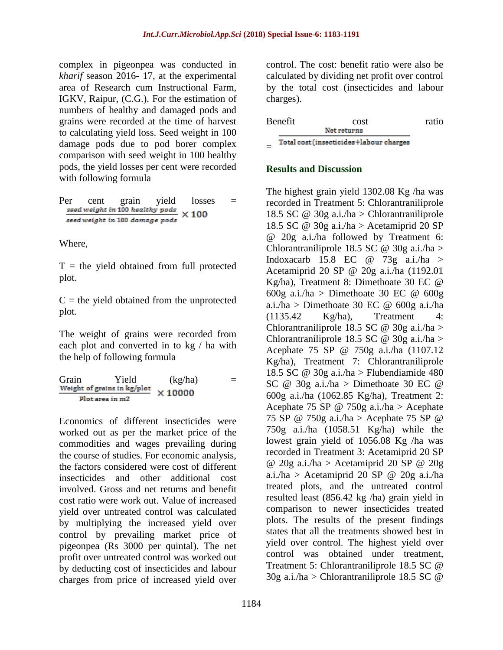complex in pigeonpea was conducted in *kharif* season 2016- 17, at the experimental area of Research cum Instructional Farm, IGKV, Raipur, (C.G.). For the estimation of numbers of healthy and damaged pods and grains were recorded at the time of harvest to calculating yield loss. Seed weight in 100 damage pods due to pod borer complex comparison with seed weight in 100 healthy pods, the yield losses per cent were recorded with following formula

| Per | cent | grain                          | vield | losses                                       |  |
|-----|------|--------------------------------|-------|----------------------------------------------|--|
|     |      |                                |       | seed weight in 100 healthy pods $\times$ 100 |  |
|     |      | seed weight in 100 damage pods |       |                                              |  |

Where,

 $T =$  the yield obtained from full protected plot.

 $C =$  the yield obtained from the unprotected plot.

The weight of grains were recorded from each plot and converted in to kg / ha with the help of following formula

Grain Yield (kg/ha) =<br>Weight of grains in kg/plot  $\sqrt{10000}$  $\times$  10000 Plot area in m2

Economics of different insecticides were worked out as per the market price of the commodities and wages prevailing during the course of studies. For economic analysis, the factors considered were cost of different insecticides and other additional cost involved. Gross and net returns and benefit cost ratio were work out. Value of increased yield over untreated control was calculated by multiplying the increased yield over control by prevailing market price of pigeonpea (Rs 3000 per quintal). The net profit over untreated control was worked out by deducting cost of insecticides and labour charges from price of increased yield over

control. The cost: benefit ratio were also be calculated by dividing net profit over control by the total cost (insecticides and labour charges).

|     | Benefit | cost.                                   | ratio |
|-----|---------|-----------------------------------------|-------|
|     |         | Net returns                             |       |
| $=$ |         | Total cost (insecticides+labour charges |       |

## **Results and Discussion**

The highest grain yield 1302.08 Kg /ha was recorded in Treatment 5: Chlorantraniliprole 18.5 SC @ 30g a.i./ha > Chlorantraniliprole 18.5 SC @ 30g a.i./ha > Acetamiprid 20 SP @ 20g a.i./ha followed by Treatment 6: Chlorantraniliprole 18.5 SC @ 30g a.i./ha > Indoxacarb 15.8 EC  $@$  73g a.i./ha > Acetamiprid 20 SP @ 20g a.i./ha (1192.01 Kg/ha), Treatment 8: Dimethoate 30 EC @ 600g a.i./ha > Dimethoate 30 EC  $\omega$  600g a.i./ha > Dimethoate 30 EC  $\omega$  600g a.i./ha (1135.42 Kg/ha), Treatment 4: Chlorantraniliprole 18.5 SC  $\omega$  30g a.i./ha > Chlorantraniliprole 18.5 SC  $\omega$  30g a.i./ha > Acephate 75 SP @ 750g a.i./ha (1107.12 Kg/ha), Treatment 7: Chlorantraniliprole 18.5 SC @ 30g a.i./ha > Flubendiamide 480 SC  $@$  30g a.i./ha > Dimethoate 30 EC  $@$ 600g a.i./ha (1062.85 Kg/ha), Treatment 2: Acephate 75 SP  $\omega$  750g a.i./ha > Acephate 75 SP @ 750g a.i./ha > Acephate 75 SP @ 750g a.i./ha (1058.51 Kg/ha) while the lowest grain yield of 1056.08 Kg /ha was recorded in Treatment 3: Acetamiprid 20 SP @ 20g a.i./ha > Acetamiprid 20 SP @ 20g a.i./ha > Acetamiprid 20 SP @ 20g a.i./ha treated plots, and the untreated control resulted least (856.42 kg /ha) grain yield in comparison to newer insecticides treated plots. The results of the present findings states that all the treatments showed best in yield over control. The highest yield over control was obtained under treatment, Treatment 5: Chlorantraniliprole 18.5 SC @  $30g$  a.i./ha > Chlorantraniliprole 18.5 SC  $\omega$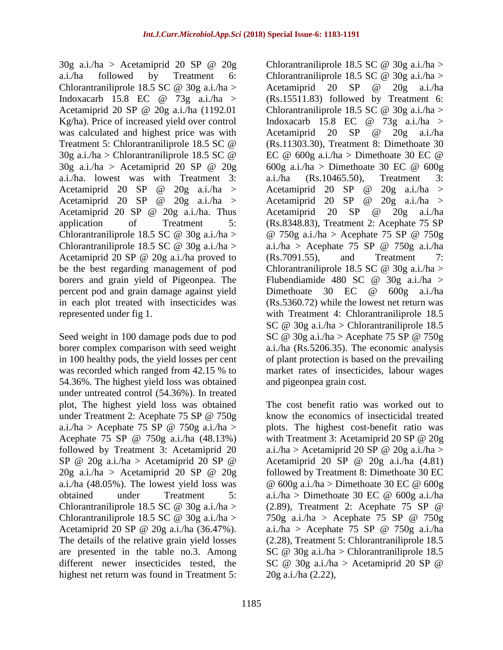30g a.i./ha > Acetamiprid 20 SP @ 20g a.i./ha followed by Treatment 6: Chlorantraniliprole 18.5 SC  $\omega$  30g a.i./ha > Indoxacarb 15.8 EC  $\omega$  73g a.i./ha > Acetamiprid 20 SP @ 20g a.i./ha (1192.01 Kg/ha). Price of increased yield over control was calculated and highest price was with Treatment 5: Chlorantraniliprole 18.5 SC @  $30g$  a.i./ha > Chlorantraniliprole 18.5 SC  $\omega$ 30g a.i./ha > Acetamiprid 20 SP @ 20g a.i./ha. lowest was with Treatment 3: Acetamiprid 20 SP @ 20g a.i./ha > Acetamiprid 20 SP  $\omega$  20g a.i./ha > Acetamiprid 20 SP @ 20g a.i./ha. Thus application of Treatment 5: Chlorantraniliprole 18.5 SC  $\omega$  30g a.i./ha > Chlorantraniliprole 18.5 SC  $\omega$  30g a.i./ha > Acetamiprid 20 SP @ 20g a.i./ha proved to be the best regarding management of pod borers and grain yield of Pigeonpea. The percent pod and grain damage against yield in each plot treated with insecticides was represented under fig 1.

Seed weight in 100 damage pods due to pod borer complex comparison with seed weight in 100 healthy pods, the yield losses per cent was recorded which ranged from 42.15 % to 54.36%. The highest yield loss was obtained under untreated control (54.36%). In treated plot, The highest yield loss was obtained under Treatment 2: Acephate 75 SP @ 750g a.i./ha > Acephate 75 SP @ 750g a.i./ha > Acephate 75 SP @ 750g a.i./ha (48.13%) followed by Treatment 3: Acetamiprid 20 SP  $@$  20g a.i./ha > Acetamiprid 20 SP  $@$ 20g a.i./ha > Acetamiprid 20 SP @ 20g a.i./ha (48.05%). The lowest yield loss was obtained under Treatment 5: Chlorantraniliprole 18.5 SC  $\omega$  30g a.i./ha > Chlorantraniliprole 18.5 SC  $\omega$  30g a.i./ha > Acetamiprid 20 SP @ 20g a.i./ha (36.47%). The details of the relative grain yield losses are presented in the table no.3. Among different newer insecticides tested, the highest net return was found in Treatment 5:

Chlorantraniliprole 18.5 SC  $\omega$  30g a.i./ha > Chlorantraniliprole 18.5 SC  $\omega$  30g a.i./ha > Acetamiprid 20 SP @ 20g a.i./ha (Rs.15511.83) followed by Treatment 6: Chlorantraniliprole 18.5 SC  $\omega$  30g a.i./ha > Indoxacarb 15.8 EC  $\omega$  73g a.i./ha > Acetamiprid 20 SP @ 20g a.i./ha (Rs.11303.30), Treatment 8: Dimethoate 30 EC  $\omega$  600g a.i./ha > Dimethoate 30 EC  $\omega$ 600g a.i./ha > Dimethoate 30 EC  $\omega$  600g a.i./ha (Rs.10465.50), Treatment 3: Acetamiprid 20 SP  $\omega$  20g a.i./ha > Acetamiprid 20 SP  $\omega$  20g a.i./ha > Acetamiprid 20 SP @ 20g a.i./ha (Rs.8348.83), Treatment 2: Acephate 75 SP @ 750g a.i./ha > Acephate 75 SP @ 750g a.i./ha > Acephate 75 SP  $\omega$  750g a.i./ha (Rs.7091.55), and Treatment 7: Chlorantraniliprole 18.5 SC  $\omega$  30g a.i./ha > Flubendiamide 480 SC  $\omega$  30g a.i./ha > Dimethoate 30 EC @ 600g a.i./ha (Rs.5360.72) while the lowest net return was with Treatment 4: Chlorantraniliprole 18.5 SC  $\omega$  30g a.i./ha > Chlorantraniliprole 18.5 SC @ 30g a.i./ha > Acephate 75 SP @ 750g a.i./ha (Rs.5206.35). The economic analysis of plant protection is based on the prevailing market rates of insecticides, labour wages and pigeonpea grain cost.

The cost benefit ratio was worked out to know the economics of insecticidal treated plots. The highest cost-benefit ratio was with Treatment 3: Acetamiprid 20 SP @ 20g a.i./ha > Acetamiprid 20 SP @ 20g a.i./ha > Acetamiprid 20 SP  $\omega$  20g a.i./ha  $(4.81)$ followed by Treatment 8: Dimethoate 30 EC  $@$  600g a.i./ha > Dimethoate 30 EC  $@$  600g a.i./ha > Dimethoate 30 EC  $\omega$  600g a.i./ha (2.89), Treatment 2: Acephate 75 SP @ 750g a.i./ha > Acephate 75 SP  $\omega$  750g a.i./ha > Acephate 75 SP  $\omega$  750g a.i./ha (2.28), Treatment 5: Chlorantraniliprole 18.5 SC  $\omega$  30g a.i./ha > Chlorantraniliprole 18.5 SC  $@$  30g a.i./ha > Acetamiprid 20 SP  $@$ 20g a.i./ha (2.22),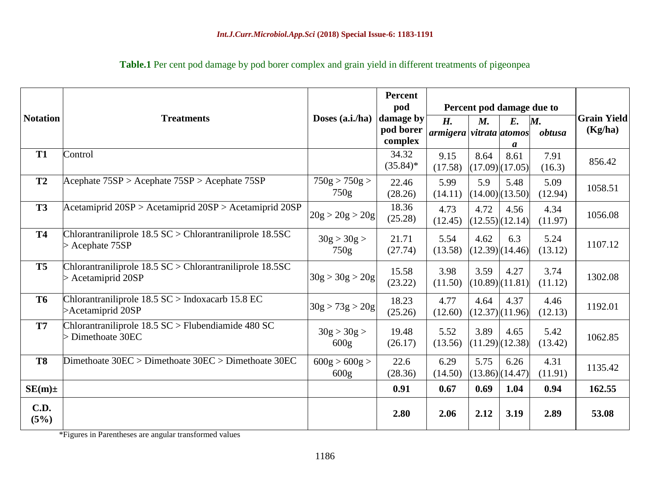| <b>Notation</b>     | <b>Treatments</b>                                                                | Doses (a.i./ha)                   | Percent<br>pod<br>damage by<br>pod borer | Percent pod damage due to<br>H.<br>$M_{\cdot}$<br>armigera vitrata atomos |      | E.<br>M.                    | <b>Grain Yield</b><br>(Kg/ha) |         |
|---------------------|----------------------------------------------------------------------------------|-----------------------------------|------------------------------------------|---------------------------------------------------------------------------|------|-----------------------------|-------------------------------|---------|
| <b>T1</b>           | Control                                                                          |                                   | complex<br>34.32<br>$(35.84)$ *          | 9.15<br>(17.58)                                                           | 8.64 | a<br>8.61<br>(17.09)(17.05) | 7.91<br>(16.3)                | 856.42  |
| <b>T2</b>           | Acephate 75SP > Acephate 75SP > Acephate 75SP                                    | 750g > 750g ><br>750g             | 22.46<br>(28.26)                         | 5.99<br>(14.11)                                                           | 5.9  | 5.48<br>(14.00)(13.50)      | 5.09<br>(12.94)               | 1058.51 |
| <b>T3</b>           | Acetamiprid 20SP > Acetamiprid 20SP > Acetamiprid 20SP                           | 20g > 20g > 20g                   | 18.36<br>(25.28)                         | 4.73<br>(12.45)                                                           | 4.72 | 4.56<br>(12.55)(12.14)      | 4.34<br>(11.97)               | 1056.08 |
| <b>T4</b>           | Chlorantraniliprole 18.5 SC > Chlorantraniliprole 18.5SC<br>$>$ Acephate 75SP    | 30g > 30g ><br>750g               | 21.71<br>(27.74)                         | 5.54<br>(13.58)                                                           | 4.62 | 6.3<br>(12.39)(14.46)       | 5.24<br>(13.12)               | 1107.12 |
| <b>T5</b>           | Chlorantraniliprole 18.5 SC > Chlorantraniliprole 18.5SC<br>$>$ Acetamiprid 20SP | 30g > 30g > 20g                   | 15.58<br>(23.22)                         | 3.98<br>(11.50)                                                           | 3.59 | 4.27<br>(10.89)(11.81)      | 3.74<br>(11.12)               | 1302.08 |
| <b>T6</b>           | Chlorantraniliprole 18.5 SC > Indoxacarb 15.8 EC<br>>Acetamiprid 20SP            | 30g > 73g > 20g                   | 18.23<br>(25.26)                         | 4.77<br>(12.60)                                                           | 4.64 | 4.37<br>(12.37)(11.96)      | 4.46<br>(12.13)               | 1192.01 |
| T7                  | Chlorantraniliprole 18.5 SC > Flubendiamide 480 SC<br>> Dimethoate 30EC          | 30g > 30g ><br>600 <sub>g</sub>   | 19.48<br>(26.17)                         | 5.52<br>(13.56)                                                           | 3.89 | 4.65<br>(11.29)(12.38)      | 5.42<br>(13.42)               | 1062.85 |
| <b>T8</b>           | Dimethoate $30EC >$ Dimethoate $30EC >$ Dimethoate $30EC$                        | 600g > 600g ><br>600 <sub>g</sub> | 22.6<br>(28.36)                          | 6.29<br>(14.50)                                                           | 5.75 | 6.26<br>(13.86)(14.47)      | 4.31<br>(11.91)               | 1135.42 |
| $SE(m) \pm$         |                                                                                  |                                   | 0.91                                     | 0.67                                                                      | 0.69 | 1.04                        | 0.94                          | 162.55  |
| <b>C.D.</b><br>(5%) |                                                                                  |                                   | 2.80                                     | 2.06                                                                      | 2.12 | 3.19                        | 2.89                          | 53.08   |

# **Table.1** Per cent pod damage by pod borer complex and grain yield in different treatments of pigeonpea

\*Figures in Parentheses are angular transformed values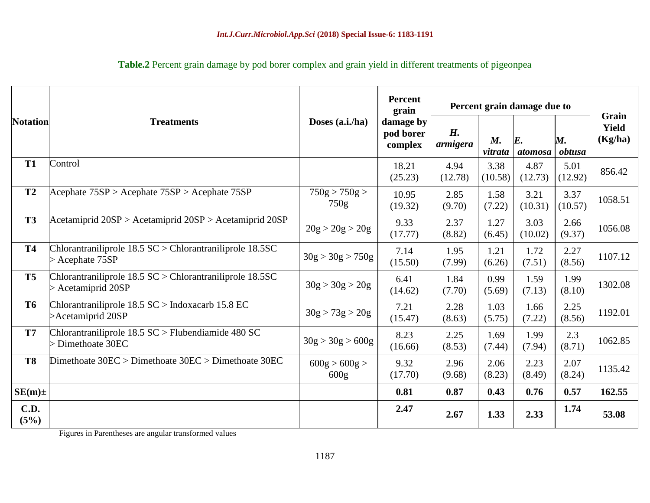|                     |                                                                                          | Doses (a.i./ha)                   | <b>Percent</b><br>grain<br>damage by<br>pod borer<br>complex | Percent grain damage due to |                        |                               |                 |                                  |
|---------------------|------------------------------------------------------------------------------------------|-----------------------------------|--------------------------------------------------------------|-----------------------------|------------------------|-------------------------------|-----------------|----------------------------------|
| <b>Notation</b>     | <b>Treatments</b>                                                                        |                                   |                                                              | H.<br>armigera              | $M_{\cdot}$<br>vitrata | $\boldsymbol{E}$ .<br>atomosa | M.<br>obtusa    | Grain<br><b>Yield</b><br>(Kg/ha) |
| <b>T1</b>           | Control                                                                                  |                                   | 18.21<br>(25.23)                                             | 4.94<br>(12.78)             | 3.38<br>(10.58)        | 4.87<br>(12.73)               | 5.01<br>(12.92) | 856.42                           |
| <b>T2</b>           | $Acceptate 75SP > Acceptate 75SP > Acceptate 75SP$                                       | 750g > 750g ><br>750g             | 10.95<br>(19.32)                                             | 2.85<br>(9.70)              | 1.58<br>(7.22)         | 3.21<br>(10.31)               | 3.37<br>(10.57) | 1058.51                          |
| <b>T3</b>           | $\text{Acetamiprid } 20SP$ > Acetamiprid $20SP$ > Acetamiprid $20SP$                     | 20g > 20g > 20g                   | 9.33<br>(17.77)                                              | 2.37<br>(8.82)              | 1.27<br>(6.45)         | 3.03<br>(10.02)               | 2.66<br>(9.37)  | 1056.08                          |
| <b>T4</b>           | Chlorantraniliprole $18.5$ SC $>$ Chlorantraniliprole $18.5$ SC<br>$>$ Acephate 75SP     | 30g > 30g > 750g                  | 7.14<br>(15.50)                                              | 1.95<br>(7.99)              | 1.21<br>(6.26)         | 1.72<br>(7.51)                | 2.27<br>(8.56)  | 1107.12                          |
| <b>T5</b>           | Chlorantraniliprole $18.5$ SC $>$ Chlorantraniliprole $18.5$ SC<br>$>$ Acetamiprid 20SP  | 30g > 30g > 20g                   | 6.41<br>(14.62)                                              | 1.84<br>(7.70)              | 0.99<br>(5.69)         | 1.59<br>(7.13)                | 1.99<br>(8.10)  | 1302.08                          |
| <b>T6</b>           | Chlorantraniliprole $18.5$ SC $>$ Indox acarb 15.8 EC<br>>Acetamiprid 20SP               | 30g > 73g > 20g                   | 7.21<br>(15.47)                                              | 2.28<br>(8.63)              | 1.03<br>(5.75)         | 1.66<br>(7.22)                | 2.25<br>(8.56)  | 1192.01                          |
| <b>T7</b>           | Chlorantraniliprole $18.5 \text{ SC} > \text{Flubendiamide}$ 480 SC<br>> Dimethoate 30EC | 30g > 30g > 600g                  | 8.23<br>(16.66)                                              | 2.25<br>(8.53)              | 1.69<br>(7.44)         | 1.99<br>(7.94)                | 2.3<br>(8.71)   | 1062.85                          |
| <b>T8</b>           | Dimethoate $30EC >$ Dimethoate $30EC >$ Dimethoate $30EC$                                | 600g > 600g ><br>600 <sub>g</sub> | 9.32<br>(17.70)                                              | 2.96<br>(9.68)              | 2.06<br>(8.23)         | 2.23<br>(8.49)                | 2.07<br>(8.24)  | 1135.42                          |
| $SE(m) \pm$         |                                                                                          |                                   | 0.81                                                         | 0.87                        | 0.43                   | 0.76                          | 0.57            | 162.55                           |
| <b>C.D.</b><br>(5%) |                                                                                          |                                   | 2.47                                                         | 2.67                        | 1.33                   | 2.33                          | 1.74            | 53.08                            |

**Table.2** Percent grain damage by pod borer complex and grain yield in different treatments of pigeonpea

Figures in Parentheses are angular transformed values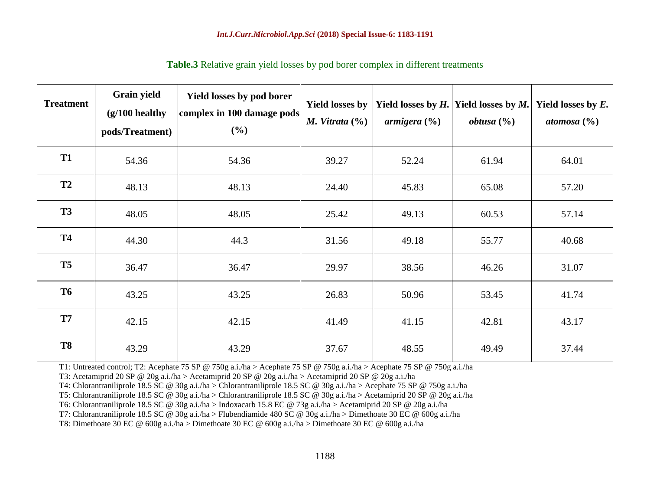| <b>Treatment</b> | Grain yield<br>$(g/100$ healthy<br>pods/Treatment) | Yield losses by pod borer<br>complex in 100 damage pods<br>(%) | <b>Yield losses by</b><br>M. Vitrata $(\%)$ | Yield losses by $H$ .<br>armigera $(\% )$ | Yield losses by $M$ .<br><i>obtusa</i> $(\%)$ | Yield losses by $E$ .<br>atomosa $(\%)$ |
|------------------|----------------------------------------------------|----------------------------------------------------------------|---------------------------------------------|-------------------------------------------|-----------------------------------------------|-----------------------------------------|
| <b>T1</b>        | 54.36                                              | 54.36                                                          | 39.27                                       | 52.24                                     | 61.94                                         | 64.01                                   |
| <b>T2</b>        | 48.13                                              | 48.13                                                          | 24.40                                       | 45.83                                     | 65.08                                         | 57.20                                   |
| <b>T3</b>        | 48.05                                              | 48.05                                                          | 25.42                                       | 49.13                                     | 60.53                                         | 57.14                                   |
| <b>T4</b>        | 44.30                                              | 44.3                                                           | 31.56                                       | 49.18                                     | 55.77                                         | 40.68                                   |
| T <sub>5</sub>   | 36.47                                              | 36.47                                                          | 29.97                                       | 38.56                                     | 46.26                                         | 31.07                                   |
| <b>T6</b>        | 43.25                                              | 43.25                                                          | 26.83                                       | 50.96                                     | 53.45                                         | 41.74                                   |
| <b>T7</b>        | 42.15                                              | 42.15                                                          | 41.49                                       | 41.15                                     | 42.81                                         | 43.17                                   |
| <b>T8</b>        | 43.29                                              | 43.29                                                          | 37.67                                       | 48.55                                     | 49.49                                         | 37.44                                   |

**Table.3** Relative grain yield losses by pod borer complex in different treatments

T1: Untreated control; T2: Acephate 75 SP @ 750g a.i./ha > Acephate 75 SP @ 750g a.i./ha > Acephate 75 SP @ 750g a.i./ha

T3: Acetamiprid 20 SP @ 20g a.i./ha > Acetamiprid 20 SP @ 20g a.i./ha > Acetamiprid 20 SP @ 20g a.i./ha

T4: Chlorantraniliprole 18.5 SC @ 30g a.i./ha > Chlorantraniliprole 18.5 SC @ 30g a.i./ha > Acephate 75 SP @ 750g a.i./ha

T5: Chlorantraniliprole 18.5 SC @ 30g a.i./ha > Chlorantraniliprole 18.5 SC @ 30g a.i./ha > Acetamiprid 20 SP @ 20g a.i./ha

T6: Chlorantraniliprole 18.5 SC @ 30g a.i./ha > Indoxacarb 15.8 EC @ 73g a.i./ha > Acetamiprid 20 SP @ 20g a.i./ha

T7: Chlorantraniliprole 18.5 SC @ 30g a.i./ha > Flubendiamide 480 SC @ 30g a.i./ha > Dimethoate 30 EC @ 600g a.i./ha

T8: Dimethoate 30 EC @ 600g a.i./ha > Dimethoate 30 EC @ 600g a.i./ha > Dimethoate 30 EC @ 600g a.i./ha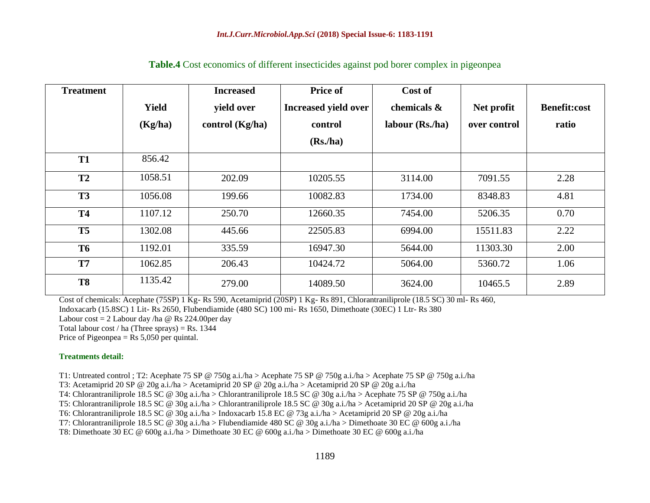| <b>Treatment</b> |              | <b>Increased</b>  | Price of             | Cost of          |              |                     |
|------------------|--------------|-------------------|----------------------|------------------|--------------|---------------------|
|                  | <b>Yield</b> | yield over        | Increased yield over | chemicals &      | Net profit   | <b>Benefit:cost</b> |
|                  | (Kg/ha)      | control $(Kg/ha)$ | control              | labour $(Rs/ha)$ | over control | ratio               |
|                  |              |                   | (Rs, ha)             |                  |              |                     |
| <b>T1</b>        | 856.42       |                   |                      |                  |              |                     |
| T2               | 1058.51      | 202.09            | 10205.55             | 3114.00          | 7091.55      | 2.28                |
| <b>T3</b>        | 1056.08      | 199.66            | 10082.83             | 1734.00          | 8348.83      | 4.81                |
| <b>T4</b>        | 1107.12      | 250.70            | 12660.35             | 7454.00          | 5206.35      | 0.70                |
| <b>T5</b>        | 1302.08      | 445.66            | 22505.83             | 6994.00          | 15511.83     | 2.22                |
| <b>T6</b>        | 1192.01      | 335.59            | 16947.30             | 5644.00          | 11303.30     | 2.00                |
| T7               | 1062.85      | 206.43            | 10424.72             | 5064.00          | 5360.72      | 1.06                |
| <b>T8</b>        | 1135.42      | 279.00            | 14089.50             | 3624.00          | 10465.5      | 2.89                |

#### **Table.4** Cost economics of different insecticides against pod borer complex in pigeonpea

Cost of chemicals: Acephate (75SP) 1 Kg- Rs 590, Acetamiprid (20SP) 1 Kg- Rs 891, Chlorantraniliprole (18.5 SC) 30 ml- Rs 460,

Indoxacarb (15.8SC) 1 Lit- Rs 2650, Flubendiamide (480 SC) 100 mi- Rs 1650, Dimethoate (30EC) 1 Ltr- Rs 380

Labour cost  $= 2$  Labour day /ha @ Rs 224.00 per day

Total labour cost / ha (Three sprays) = Rs. 1344

Price of Pigeonpea  $=$  Rs 5,050 per quintal.

#### **Treatments detail:**

T1: Untreated control ; T2: Acephate 75 SP @ 750g a.i./ha > Acephate 75 SP @ 750g a.i./ha > Acephate 75 SP @ 750g a.i./ha

T3: Acetamiprid 20 SP @ 20g a.i./ha > Acetamiprid 20 SP @ 20g a.i./ha > Acetamiprid 20 SP @ 20g a.i./ha

T4: Chlorantraniliprole 18.5 SC @ 30g a.i./ha > Chlorantraniliprole 18.5 SC @ 30g a.i./ha > Acephate 75 SP @ 750g a.i./ha

T5: Chlorantraniliprole 18.5 SC @ 30g a.i./ha > Chlorantraniliprole 18.5 SC @ 30g a.i./ha > Acetamiprid 20 SP @ 20g a.i./ha

T6: Chlorantraniliprole 18.5 SC @ 30g a.i./ha > Indoxacarb 15.8 EC @ 73g a.i./ha > Acetamiprid 20 SP @ 20g a.i./ha

T7: Chlorantraniliprole 18.5 SC @ 30g a.i./ha > Flubendiamide 480 SC @ 30g a.i./ha > Dimethoate 30 EC @ 600g a.i./ha

T8: Dimethoate 30 EC @ 600g a.i./ha > Dimethoate 30 EC @ 600g a.i./ha > Dimethoate 30 EC @ 600g a.i./ha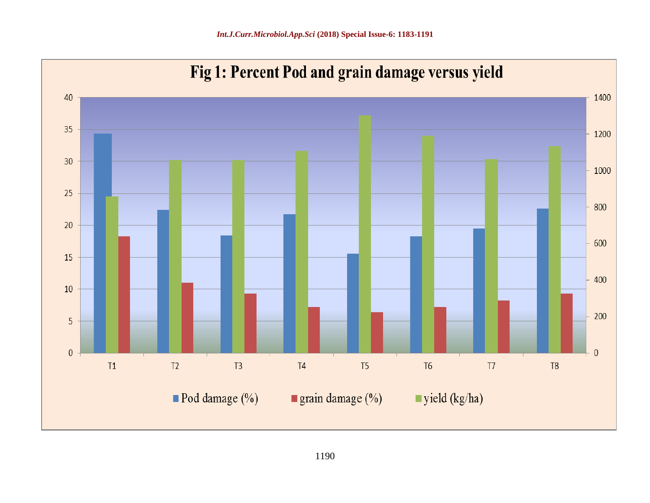